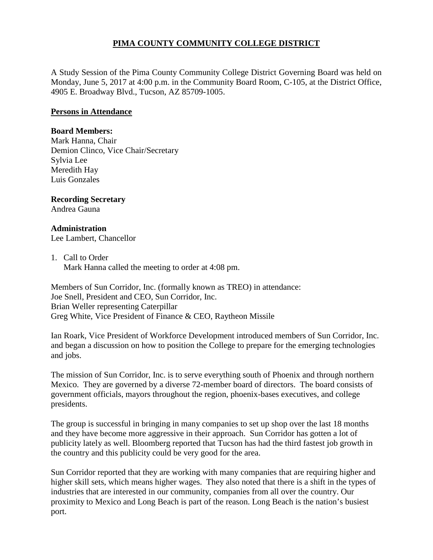# **PIMA COUNTY COMMUNITY COLLEGE DISTRICT**

A Study Session of the Pima County Community College District Governing Board was held on Monday, June 5, 2017 at 4:00 p.m. in the Community Board Room, C-105, at the District Office, 4905 E. Broadway Blvd., Tucson, AZ 85709-1005.

### **Persons in Attendance**

#### **Board Members:**

Mark Hanna, Chair Demion Clinco, Vice Chair/Secretary Sylvia Lee Meredith Hay Luis Gonzales

## **Recording Secretary**

Andrea Gauna

### **Administration**

Lee Lambert, Chancellor

### 1. Call to Order

Mark Hanna called the meeting to order at 4:08 pm.

Members of Sun Corridor, Inc. (formally known as TREO) in attendance: Joe Snell, President and CEO, Sun Corridor, Inc. Brian Weller representing Caterpillar Greg White, Vice President of Finance & CEO, Raytheon Missile

Ian Roark, Vice President of Workforce Development introduced members of Sun Corridor, Inc. and began a discussion on how to position the College to prepare for the emerging technologies and jobs.

The mission of Sun Corridor, Inc. is to serve everything south of Phoenix and through northern Mexico. They are governed by a diverse 72-member board of directors. The board consists of government officials, mayors throughout the region, phoenix-bases executives, and college presidents.

The group is successful in bringing in many companies to set up shop over the last 18 months and they have become more aggressive in their approach. Sun Corridor has gotten a lot of publicity lately as well. Bloomberg reported that Tucson has had the third fastest job growth in the country and this publicity could be very good for the area.

Sun Corridor reported that they are working with many companies that are requiring higher and higher skill sets, which means higher wages. They also noted that there is a shift in the types of industries that are interested in our community, companies from all over the country. Our proximity to Mexico and Long Beach is part of the reason. Long Beach is the nation's busiest port.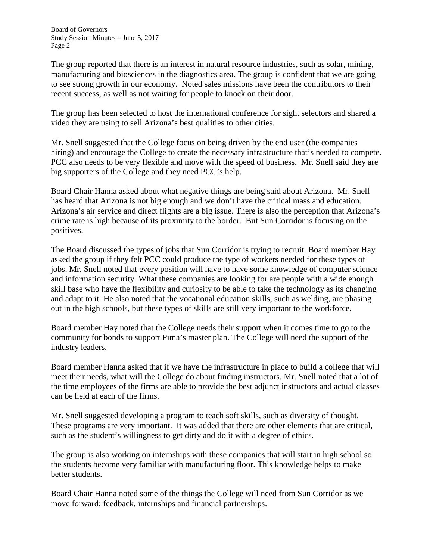Board of Governors Study Session Minutes – June 5, 2017 Page 2

The group reported that there is an interest in natural resource industries, such as solar, mining, manufacturing and biosciences in the diagnostics area. The group is confident that we are going to see strong growth in our economy. Noted sales missions have been the contributors to their recent success, as well as not waiting for people to knock on their door.

The group has been selected to host the international conference for sight selectors and shared a video they are using to sell Arizona's best qualities to other cities.

Mr. Snell suggested that the College focus on being driven by the end user (the companies hiring) and encourage the College to create the necessary infrastructure that's needed to compete. PCC also needs to be very flexible and move with the speed of business. Mr. Snell said they are big supporters of the College and they need PCC's help.

Board Chair Hanna asked about what negative things are being said about Arizona. Mr. Snell has heard that Arizona is not big enough and we don't have the critical mass and education. Arizona's air service and direct flights are a big issue. There is also the perception that Arizona's crime rate is high because of its proximity to the border. But Sun Corridor is focusing on the positives.

The Board discussed the types of jobs that Sun Corridor is trying to recruit. Board member Hay asked the group if they felt PCC could produce the type of workers needed for these types of jobs. Mr. Snell noted that every position will have to have some knowledge of computer science and information security. What these companies are looking for are people with a wide enough skill base who have the flexibility and curiosity to be able to take the technology as its changing and adapt to it. He also noted that the vocational education skills, such as welding, are phasing out in the high schools, but these types of skills are still very important to the workforce.

Board member Hay noted that the College needs their support when it comes time to go to the community for bonds to support Pima's master plan. The College will need the support of the industry leaders.

Board member Hanna asked that if we have the infrastructure in place to build a college that will meet their needs, what will the College do about finding instructors. Mr. Snell noted that a lot of the time employees of the firms are able to provide the best adjunct instructors and actual classes can be held at each of the firms.

Mr. Snell suggested developing a program to teach soft skills, such as diversity of thought. These programs are very important. It was added that there are other elements that are critical, such as the student's willingness to get dirty and do it with a degree of ethics.

The group is also working on internships with these companies that will start in high school so the students become very familiar with manufacturing floor. This knowledge helps to make better students.

Board Chair Hanna noted some of the things the College will need from Sun Corridor as we move forward; feedback, internships and financial partnerships.